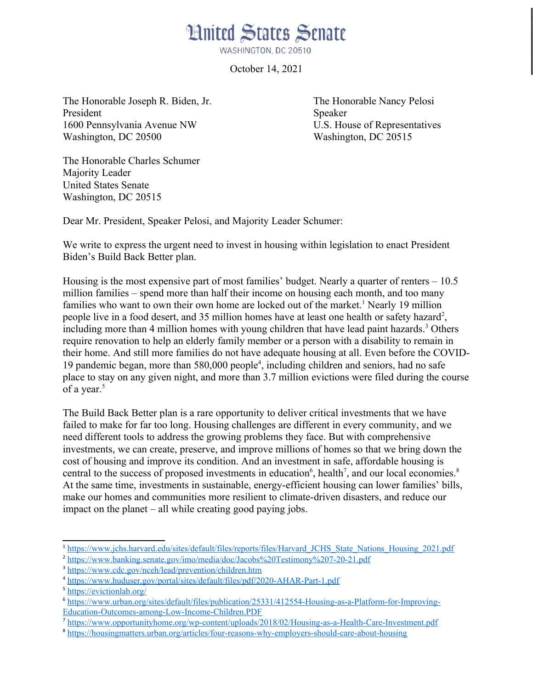

October 14, 2021

The Honorable Joseph R. Biden, Jr. The Honorable Nancy Pelosi President Speaker 1600 Pennsylvania Avenue NW U.S. House of Representatives Washington, DC 20500 Washington, DC 20515

The Honorable Charles Schumer Majority Leader United States Senate Washington, DC 20515

Dear Mr. President, Speaker Pelosi, and Majority Leader Schumer:

We write to express the urgent need to invest in housing within legislation to enact President Biden's Build Back Better plan.

Housing is the most expensive part of most families' budget. Nearly a quarter of renters  $-10.5$ million families – spend more than half their income on housing each month, and too many families who want to own their own home are locked out of the market.<sup>[1](#page-0-0)</sup> Nearly 19 million people live in a food desert, and 35 million homes have at least one health or safety hazard<sup>[2](#page-0-1)</sup>, including more than 4 million homes with young children that have lead paint hazards.<sup>[3](#page-0-2)</sup> Others require renovation to help an elderly family member or a person with a disability to remain in their home. And still more families do not have adequate housing at all. Even before the COVID-19 pandemic began, more than 580,000 people[4](#page-0-3) , including children and seniors, had no safe place to stay on any given night, and more than 3.7 million evictions were filed during the course of a year.<sup>[5](#page-0-4)</sup>

The Build Back Better plan is a rare opportunity to deliver critical investments that we have failed to make for far too long. Housing challenges are different in every community, and we need different tools to address the growing problems they face. But with comprehensive investments, we can create, preserve, and improve millions of homes so that we bring down the cost of housing and improve its condition. And an investment in safe, affordable housing is central to the success of proposed investments in education<sup>[6](#page-0-5)</sup>, health<sup>[7](#page-0-6)</sup>, and our local economies.<sup>[8](#page-0-7)</sup> At the same time, investments in sustainable, energy-efficient housing can lower families' bills, make our homes and communities more resilient to climate-driven disasters, and reduce our impact on the planet – all while creating good paying jobs.

<span id="page-0-0"></span><sup>&</sup>lt;sup>1</sup> [https://www.jchs.harvard.edu/sites/default/files/reports/files/Harvard\\_JCHS\\_State\\_Nations\\_Housing\\_2021.pdf](https://www.jchs.harvard.edu/sites/default/files/reports/files/Harvard_JCHS_State_Nations_Housing_2021.pdf)

<span id="page-0-1"></span><sup>&</sup>lt;sup>2</sup> <https://www.banking.senate.gov/imo/media/doc/Jacobs%20Testimony%207-20-21.pdf>

<span id="page-0-2"></span><sup>&</sup>lt;sup>3</sup> <https://www.cdc.gov/nceh/lead/prevention/children.htm>

<span id="page-0-3"></span><sup>&</sup>lt;sup>4</sup> <https://www.huduser.gov/portal/sites/default/files/pdf/2020-AHAR-Part-1.pdf>

<span id="page-0-4"></span><sup>5</sup> <https://evictionlab.org/>

<span id="page-0-5"></span><sup>6</sup> [https://www.urban.org/sites/default/files/publication/25331/412554-Housing-as-a-Platform-for-Improving-](https://www.urban.org/sites/default/files/publication/25331/412554-Housing-as-a-Platform-for-Improving-Education-Outcomes-among-Low-Income-Children.PDF)[Education-Outcomes-among-Low-Income-Children.PDF](https://www.urban.org/sites/default/files/publication/25331/412554-Housing-as-a-Platform-for-Improving-Education-Outcomes-among-Low-Income-Children.PDF)

<span id="page-0-6"></span><sup>&</sup>lt;sup>7</sup> <https://www.opportunityhome.org/wp-content/uploads/2018/02/Housing-as-a-Health-Care-Investment.pdf>

<span id="page-0-7"></span><sup>8</sup> <https://housingmatters.urban.org/articles/four-reasons-why-employers-should-care-about-housing>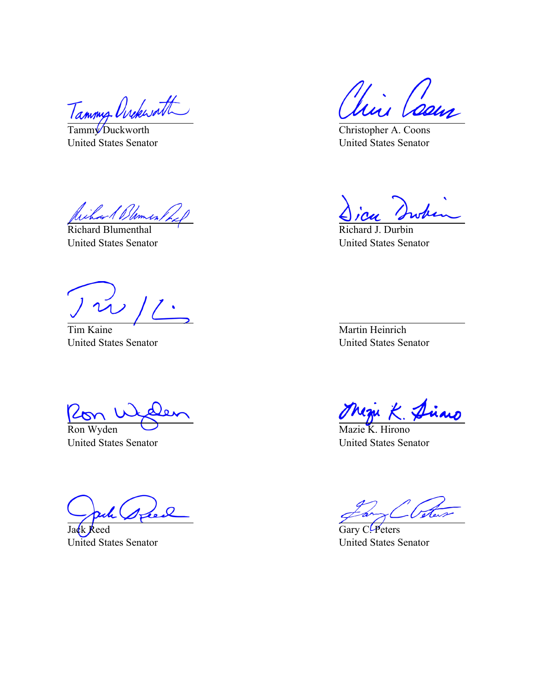Tammy Ovekwatt

Tamm<sup>V</sup>Duckworth United States Senator

*Dames* 

Richard Blumenthal United States Senator

Tim Kaine United States Senator

 $\frac{\sqrt{2\pi}}{\pi}$ 

United States Senator

Jack Reed United States Senator

Min Caem

Christopher A. Coons United States Senator

Richard J. Durbin United States Senator

Martin Heinrich United States Senator

Mari K. P now

Mazie K. Hirono United States Senator

Gary C. Peters United States Senator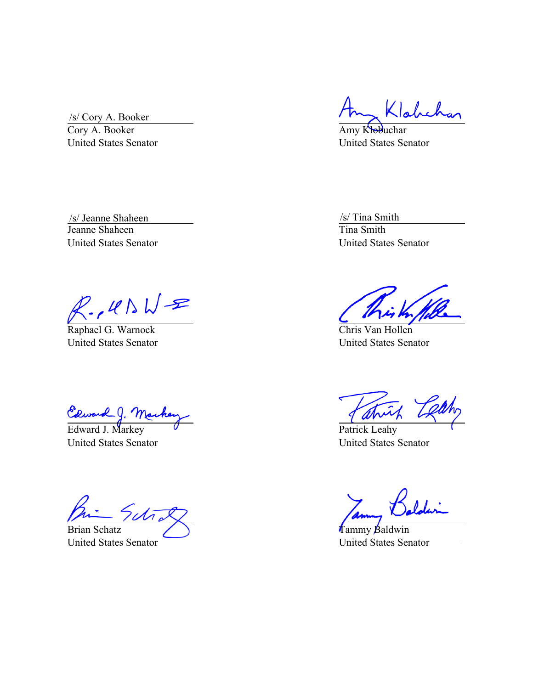/s/ Cory A. Booker

Cory A. Booker United States Senator

Amy Klobuchar United States Senator

Jeanne Shaheen United States Senator /s/ Jeanne Shaheen /s/ Tina Smith

 $R.145WR$ 

Raphael G. Warnock United States Senator

Edward J. Mar<br>Edward J. Markey

United States Senator

Brian Schatz United States Senator

Tina Smith United States Senator

Chris Van Hollen United States Senator

Patrick Leahy United States Senator

Tammy Baldwin United States Senator